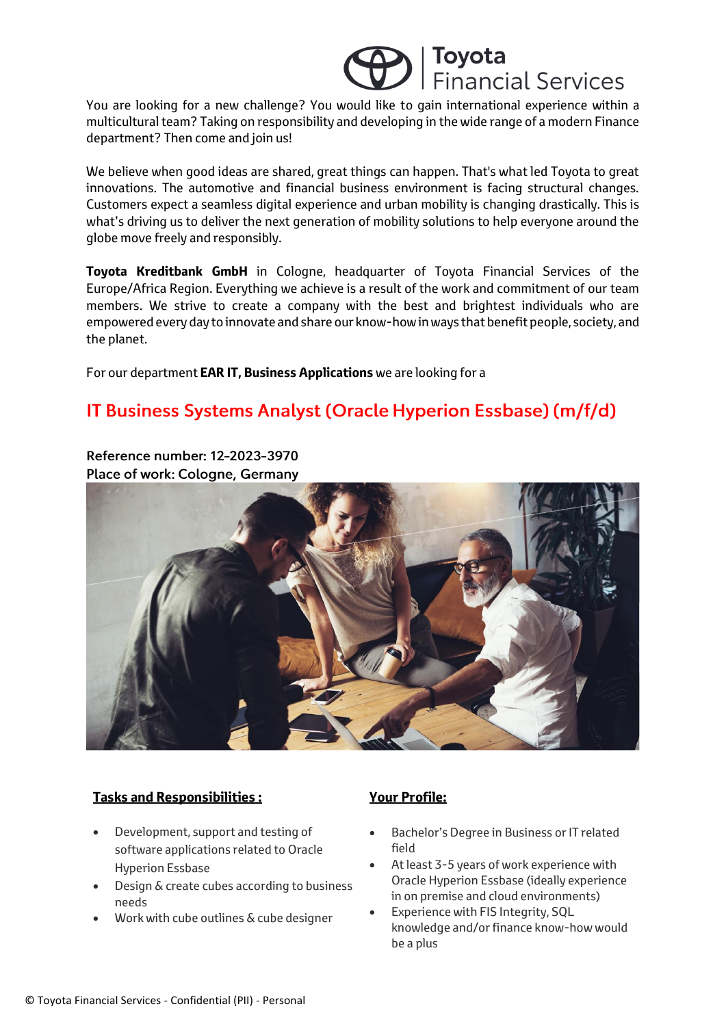## Toyota<br>Financial Services

You are looking for a new challenge? You would like to gain international experience within a multicultural team? Taking on responsibility and developing in the wide range of a modern Finance department? Then come and join us!

We believe when good ideas are shared, great things can happen. That's what led Toyota to great innovations. The automotive and financial business environment is facing structural changes. Customers expect a seamless digital experience and urban mobility is changing drastically. This is what's driving us to deliver the next generation of mobility solutions to help everyone around the globe move freely and responsibly.

**Toyota Kreditbank GmbH** in Cologne, headquarter of Toyota Financial Services of the Europe/Africa Region. Everything we achieve is a result of the work and commitment of our team members. We strive to create a company with the best and brightest individuals who are empowered every day to innovate and share our know-how in ways that benefit people, society, and the planet.

For our department **EAR IT, Business Applications** we are looking for a

### IT Business Systems Analyst (Oracle Hyperion Essbase) (m/f/d)

Reference number: 12-2023-3970 Place of work: Cologne, Germany



#### **Tasks and Responsibilities :**

- Development, support and testing of software applications related to Oracle Hyperion Essbase
- Design & create cubes according to business needs
- Work with cube outlines & cube designer

### **Your Profile:**

- Bachelor's Degree in Business or IT related field
- At least 3-5 years of work experience with Oracle Hyperion Essbase (ideally experience in on premise and cloud environments)
- Experience with FIS Integrity, SQL knowledge and/or finance know-how would be a plus